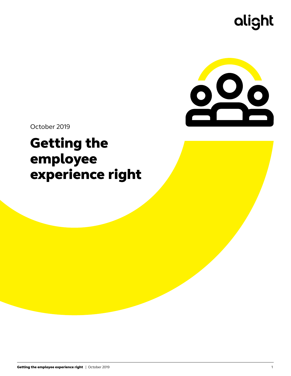# alight



October 2019

# Getting the employee experience right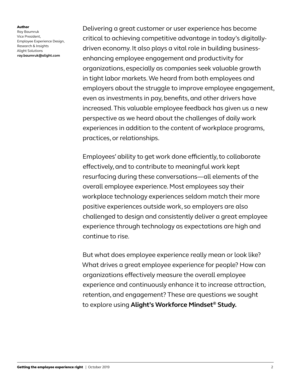Author

Ray Baumruk Vice President, Employee Experience Design, Research & Insights Alight Solutions **[ray.baumruk@alight.com](mailto:ray.baumruk%40alight.com?subject=)**

Delivering a great customer or user experience has become critical to achieving competitive advantage in today's digitallydriven economy. It also plays a vital role in building businessenhancing employee engagement and productivity for organizations, especially as companies seek valuable growth in tight labor markets. We heard from both employees and employers about the struggle to improve employee engagement, even as investments in pay, benefits, and other drivers have increased. This valuable employee feedback has given us a new perspective as we heard about the challenges of daily work experiences in addition to the content of workplace programs, practices, or relationships.

Employees' ability to get work done efficiently, to collaborate effectively, and to contribute to meaningful work kept resurfacing during these conversations—all elements of the overall employee experience. Most employees say their workplace technology experiences seldom match their more positive experiences outside work, so employers are also challenged to design and consistently deliver a great employee experience through technology as expectations are high and continue to rise.

But what does employee experience really mean or look like? What drives a great employee experience for people? How can organizations effectively measure the overall employee experience and continuously enhance it to increase attraction, retention, and engagement? These are questions we sought to explore using **[Alight's Workforce Mindset® Study.](http://ideas.alight.com/latest-resources/2018-workforce-mindset-study)**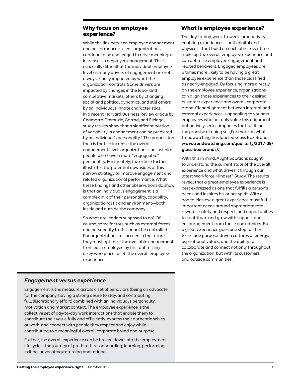### Why focus on employee experience?

While the link between employee engagement and performance is clear, organizations continue to be challenged to drive meaningful increases in employee engagement. This is especially difficult at the individual employee level as many drivers of engagement are not always readily impacted by what the organization controls. Some drivers are impacted by changes in the labor and competitive markets, others by changing social and political dynamics, and still others by an individual's innate characteristics. In a recent Harvard Business Review article by Chamorro-Premuzic, Garrad, and Elzinga, study results show that a significant portion of variability in engagement can be predicted by an individual's personality.<sup>1</sup> The proposition then is that, to increase the overall engagement level, organizations can just hire people who have a more "engageable" personality. Fortunately, the article further illustrates the potential downsides of this narrow strategy to improve engagement and related organizational performance. What these findings and other observations do show is that an individual's engagement is a complex mix of their personality, capability, organizational fit and environment—both inside and outside the company.

So what are leaders supposed to do? Of course, some factors, such as external forces and personality traits cannot be controlled. For organizations to succeed in the future, they must optimize the available engagement from each employee by first optimizing a key workplace facet: the overall employee experience.

#### What is employee experience?

The day-to-day, week-to-week, productivityenabling experiences—both digital and physical—that build on each other over time make up the overall employee experience and can optimize employee engagement and related behaviors. Engaged employees are 6 times more likely to be having a great employee experience than those classified as nearly-engaged. By focusing more directly on the employee experience, organizations can align those experiences to their desired customer experience and overall corporate brand. Clear alignment between internal and external experiences is appealing to younger employees who not only value this alignment, but actively seek companies that fulfill on the promise of doing so. [\(For more on what](http://www.trendwatching.com/quarterly/2017-09/glass-box-brands/)  [Trendwatching has labeled Glass Box Brands,](http://www.trendwatching.com/quarterly/2017-09/glass-box-brands/)  **[www.trendwatching.com/quarterly/2017-09/](http://www.trendwatching.com/quarterly/2017-09/glass-box-brands/)  [glass-box-brands/.](http://www.trendwatching.com/quarterly/2017-09/glass-box-brands/)**)

With this in mind, Alight Solutions sought to understand the current state of the overall experience and what drives it through our latest Workforce Mindset® Study. The results reveal that a great employee experience is best expressed as one that fulfills a person's needs and inspires his or her spirit. With a nod to Maslow, a great experience must fulfill important needs around appropriate total rewards, safety and respect, and opportunities to contribute and grow with support and encouragement from those one admires. But a great experience goes one step further to include purpose-driven cultures of energy, aspirational values, and the ability to collaborate and connect not only throughout the organization, but with its customers and outside communities.

### *Engagement versus experience*

Engagement is the measure across a set of behaviors (being an advocate for the company, having a strong desire to stay, and contributing full, discretionary effort) combined with an individual's personality, motivation and market context. The employee experience is the collective set of day-to-day work interactions that enable them to contribute their value fully and efficiently, express their authentic selves at work, and connect with people they respect and enjoy while contributing to a meaningful overall corporate brand and purpose.

Further, the overall experience can be broken down into the employment lifecycle—the journey of pre-hire, hire, onboarding, learning, performing, exiting, advocating/returning and retiring.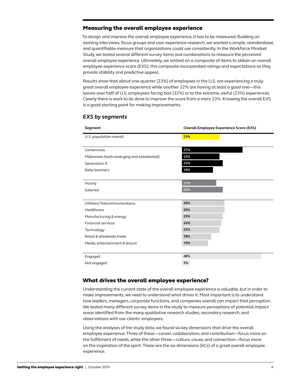#### Measuring the overall employee experience

To design and improve the overall employee experience, it has to be measured. Building on existing interviews, focus groups and user experience research, we wanted a simple, standardized, and quantifiable measure that organizations could use consistently. In the Workforce Mindset Study, we tested several different survey items and combinations to measure the perceived overall employee experience. Ultimately, we settled on a composite of items to obtain an overall employee experience score (EXS); this composite incorporated ratings and expectations as they provide stability and predictive appeal.

Results show that about one-quarter (23%) of employees in the U.S. are experiencing a truly great overall employee experience while another 22% are having at least a good one—this leaves over half of U.S. employees facing bad (32%) or to the extreme, awful (23%) experiences. Clearly there is work to be done to improve the score from a mere 23%. Knowing the overall EXS is a good starting point for making improvements.

| Segment                                     | <b>Overall Employee Experience Score (EXS)</b> |  |  |  |
|---------------------------------------------|------------------------------------------------|--|--|--|
| U.S. population overall                     | 23%                                            |  |  |  |
|                                             |                                                |  |  |  |
| Centennials                                 | 37%                                            |  |  |  |
| Millennials (both emerging and established) | 23%                                            |  |  |  |
| <b>Generation X</b>                         | 25%                                            |  |  |  |
| Baby boomers                                | 19%                                            |  |  |  |
|                                             |                                                |  |  |  |
| Hourly                                      | 21%                                            |  |  |  |
| Salaried                                    | 25%                                            |  |  |  |
|                                             |                                                |  |  |  |
| Utilities/Telecommunications                | 26%                                            |  |  |  |
| Healthcare                                  | 26%                                            |  |  |  |
| Manufacturing & energy                      | 25%                                            |  |  |  |
| <b>Financial services</b>                   | 24%                                            |  |  |  |
| Technology                                  | 23%                                            |  |  |  |
| Retail & wholesale trade                    | 18%                                            |  |  |  |
| Media, entertainment & leisure              | 16%                                            |  |  |  |
|                                             |                                                |  |  |  |
| Engaged                                     | 48%                                            |  |  |  |
| Not engaged                                 | 5%                                             |  |  |  |

#### *EXS by segments*

### What drives the overall employee experience?

Understanding the current state of the overall employee experience is valuable, but in order to make improvements, we need to understand what drives it. Most important is to understand how leaders, managers, corporate functions, and companies overall can impact that perception. We tested many different survey items in the study to measure perceptions of potential impact areas identified from the many qualitative research studies, secondary research, and observations with our clients' employees.

Using the analyses of the study data, we found six key dimensions that drive the overall employee experience. Three of these—career, collaboration, and contribution—focus more on the fulfillment of needs, while the other three—culture, cause, and connection—focus more on the inspiration of the spirit. These are the six dimensions (6Cs) of a great overall employee experience.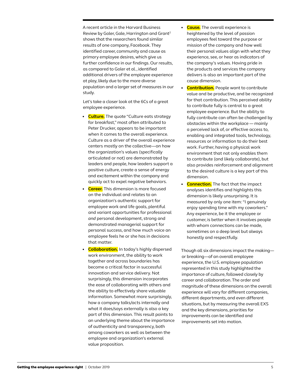A recent article in the Harvard Business Review by Goler, Gale, Harrington and Grant2 shows that the researchers found similar results of one company, Facebook. They identified career, community and cause as primary employee desires, which give us further confidence in our findings. Our results, as compared to Goler et al., identified additional drivers of the employee experience at play, likely due to the more diverse population and a larger set of measures in our study.

Let's take a closer look at the 6Cs of a great employee experience.

- **Culture.** The quote "Culture eats strategy for breakfast," most often attributed to Peter Drucker, appears to be important when it comes to the overall experience. Culture as a driver of the overall experience centers mostly on the collective—on how the organization's values (specifically articulated or not) are demonstrated by leaders and people, how leaders support a positive culture, create a sense of energy and excitement within the company and quickly act to expel negative behaviors.
- **Career.** This dimension is more focused on the individual and relates to an organization's authentic support for employee work and life goals, plentiful and variant opportunities for professional *and* personal development, strong and demonstrated managerial support for personal success, and how much voice an employee feels he or she has in decisions that matter.
- **Collaboration.** In today's highly dispersed work environment, the ability to work together and across boundaries has become a critical factor in successful innovation and service delivery. Not surprisingly, this dimension incorporates the ease of collaborating with others and the ability to effectively share valuable information. Somewhat more surprisingly, how a company talks/acts internally and what it does/says externally is also a key part of this dimension. This result points to an underlying theme about the importance of authenticity and transparency, both among coworkers as well as between the employee and organization's external value proposition.
- **Cause.** The overall experience is heightened by the level of passion employees feel toward the purpose or mission of the company and how well their personal values align with what they experience, see, or hear as indicators of the company's values. Having pride in the products and services the company delivers is also an important part of the cause dimension.
- **Contribution.** People want to contribute value and be productive, and be recognized for that contribution. This perceived ability to contribute fully is central to a great employee experience. But the ability to fully contribute can often be challenged by obstacles within the workplace — mainly a perceived lack of, or effective access to, enabling and integrated tools, technology, resources or information to do their best work. Further, having a physical work environment that not only enables them to contribute (and likely collaborate), but also provides reinforcement and alignment to the desired culture is a key part of this dimension.
- **Connection.** The fact that the impact analyses identifies and highlights this dimension is likely unsurprising. It is measured by only one item: "I genuinely enjoy spending time with my coworkers." Any experience, be it the employee or customer, is better when it involves people with whom connections can be made, sometimes on a deep level but always honestly and respectfully.

Though all six dimensions impact the making or breaking—of an overall employee experience, the U.S. employee population represented in this study highlighted the importance of culture, followed closely by career and collaboration. The order and magnitude of these dimensions on the overall experience will vary for different companies, different departments, and even different situations, but by measuring the overall EXS and the key dimensions, priorities for improvements can be identified and improvements set into motion.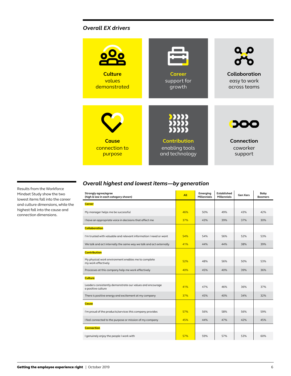## *Overall EX drivers*



Results from the Workforce Mindset Study show the two lowest items fall into the career and culture dimensions, while the highest fall into the cause and connection dimensions.

# *Overall highest and lowest items—by generation*

| Strongly agree/agree<br>(high & low in each category shown)                     | All | Emerging<br><b>Millennials</b> | <b>Established</b><br><b>Millennials</b> | <b>Gen Xers</b> | Baby<br><b>Boomers</b> |
|---------------------------------------------------------------------------------|-----|--------------------------------|------------------------------------------|-----------------|------------------------|
| <b>Career</b>                                                                   |     |                                |                                          |                 |                        |
| My manager helps me be successful                                               | 46% | 50%                            | 49%                                      | 43%             | 42%                    |
| I have an appropriate voice in decisions that affect me                         | 37% | 43%                            | 39%                                      | 37%             | 30%                    |
| <b>Collaboration</b>                                                            |     |                                |                                          |                 |                        |
| I'm trusted with valuable and relevant information I need or want               | 54% | 54%                            | 56%                                      | 52%             | 53%                    |
| We talk and act internally the same way we talk and act externally              | 41% | 44%                            | 44%                                      | 38%             | 39%                    |
| <b>Contribution</b>                                                             |     |                                |                                          |                 |                        |
| My physical work environment enables me to complete<br>my work effectively      | 52% | 48%                            | 56%                                      | 50%             | 53%                    |
| Processes at this company help me work effectively                              | 40% | 45%                            | 40%                                      | 39%             | 36%                    |
| <b>Culture</b>                                                                  |     |                                |                                          |                 |                        |
| Leaders consistently demonstrate our values and encourage<br>a positive culture | 41% | 47%                            | 46%                                      | 36%             | 37%                    |
| There is positive energy and excitement at my company                           | 37% | 45%                            | 40%                                      | 34%             | 32%                    |
| <b>Cause</b>                                                                    |     |                                |                                          |                 |                        |
| I'm proud of the products/services this company provides                        | 57% | 56%                            | 58%                                      | 56%             | 59%                    |
| I feel connected to the purpose or mission of my company                        | 45% | 44%                            | 47%                                      | 42%             | 45%                    |
| <b>Connection</b>                                                               |     |                                |                                          |                 |                        |
| I genuinely enjoy the people I work with                                        | 57% | 59%                            | 57%                                      | 53%             | 60%                    |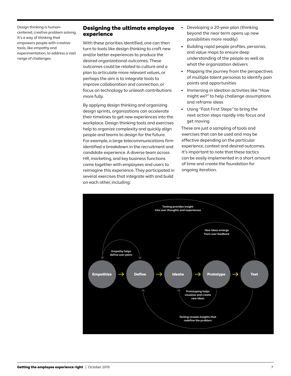Design thinking is humancentered, creative problem solving. It's a way of thinking that empowers people with creative tools, like empathy and experimentation, to address a vast range of challenges.

#### Designing the ultimate employee experience

With these priorities identified, one can then turn to tools like design thinking to craft new and/or better experiences to produce the desired organizational outcomes. These outcomes could be related to culture and a plan to articulate more relevant values, or perhaps the aim is to integrate tools to improve collaboration and connection, or focus on technology to unleash contributions more fully.

By applying design thinking and organizing design sprints, organizations can accelerate their timelines to get new experiences into the workplace. Design thinking tools and exercises help to organize complexity and quickly align people and teams to design for the future. For example, a large telecommunications firm identified a breakdown in the recruitment and candidate experience. A diverse team across HR, marketing, and key business functions came together with employees and users to reimagine this experience. They participated in several exercises that integrate with and build on each other, including:

- Developing a 20-year plan (thinking beyond the near term opens up new possibilities more readily)
- Building rapid people profiles, personas, and value maps to ensure deep understanding of the people as well as what the organization delivers
- Mapping the journey from the perspectives of multiple talent personas to identify pain points and opportunities
- Immersing in ideation activities like "How might we?" to help challenge assumptions and reframe ideas
- Using "Fast First Steps" to bring the next action steps rapidly into focus and get moving

These are just a sampling of tools and exercises that can be used and may be effective depending on the particular experience, context and desired outcomes. It's important to note that these tactics can be easily implemented in a short amount of time and create the foundation for ongoing iteration.

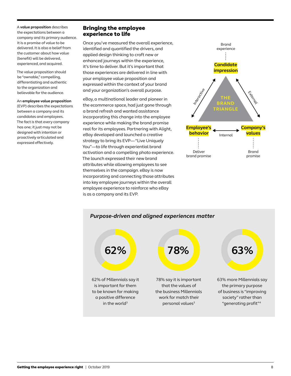A **value proposition** describes the expectations between a company and its primary audience. It is a promise of value to be delivered. It is also a belief from the customer about how value (benefit) will be delivered, experienced, and acquired.

The value proposition should be "ownable," compelling, differentiating and authentic to the organization and believable for the audience.

#### An **employee value proposition** (EVP) describes the expectations between a company and its

candidates and employees. The fact is that every company has one; it just may not be designed with intention or proactively articulated and expressed effectively.

# Bringing the employee experience to life

Once you've measured the overall experience, identified and quantified the drivers, and applied design thinking to craft new or enhanced journeys within the experience, it's time to deliver. But it's important that those experiences are delivered in line with your employee value proposition and expressed within the context of your brand and your organization's overall purpose.

eBay, a multinational leader and pioneer in the ecommerce space, had just gone through a brand refresh and wanted assistance incorporating this change into the employee experience while making the brand promise real for its employees. Partnering with Alight, eBay developed and launched a creative strategy to bring its EVP— "Live Uniquely You"—to life through experiential brand activation and a compelling photo experience. The launch expressed their new brand attributes while allowing employees to see themselves in the campaign. eBay is now incorporating and connecting those attributes into key employee journeys within the overall employee experience to reinforce who eBay is as a company and its EVP.